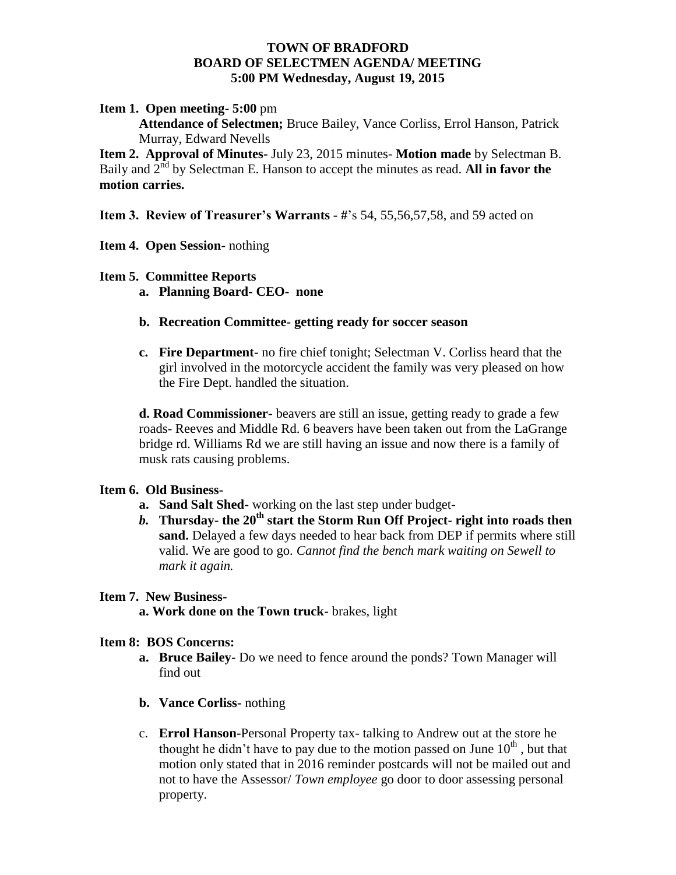### **TOWN OF BRADFORD BOARD OF SELECTMEN AGENDA/ MEETING 5:00 PM Wednesday, August 19, 2015**

### **Item 1. Open meeting- 5:00** pm

**Attendance of Selectmen;** Bruce Bailey, Vance Corliss, Errol Hanson, Patrick Murray, Edward Nevells

**Item 2. Approval of Minutes-** July 23, 2015 minutes- **Motion made** by Selectman B. Baily and  $2<sup>nd</sup>$  by Selectman E. Hanson to accept the minutes as read. All in favor the **motion carries.**

**Item 3. Review of Treasurer's Warrants - #**'s 54, 55,56,57,58, and 59 acted on

## **Item 4. Open Session-** nothing

### **Item 5. Committee Reports**

- **a. Planning Board- CEO- none**
- **b. Recreation Committee- getting ready for soccer season**
- **c. Fire Department-** no fire chief tonight; Selectman V. Corliss heard that the girl involved in the motorcycle accident the family was very pleased on how the Fire Dept. handled the situation.

**d. Road Commissioner-** beavers are still an issue, getting ready to grade a few roads- Reeves and Middle Rd. 6 beavers have been taken out from the LaGrange bridge rd. Williams Rd we are still having an issue and now there is a family of musk rats causing problems.

# **Item 6. Old Business-**

- **a. Sand Salt Shed-** working on the last step under budget-
- *b.* **Thursday- the 20th start the Storm Run Off Project- right into roads then sand.** Delayed a few days needed to hear back from DEP if permits where still valid. We are good to go. *Cannot find the bench mark waiting on Sewell to mark it again.*

### **Item 7. New Business-**

**a. Work done on the Town truck-** brakes, light

### **Item 8: BOS Concerns:**

- **a. Bruce Bailey-** Do we need to fence around the ponds? Town Manager will find out
- **b. Vance Corliss-** nothing
- c. **Errol Hanson-**Personal Property tax- talking to Andrew out at the store he thought he didn't have to pay due to the motion passed on June  $10<sup>th</sup>$ , but that motion only stated that in 2016 reminder postcards will not be mailed out and not to have the Assessor/ *Town employee* go door to door assessing personal property.